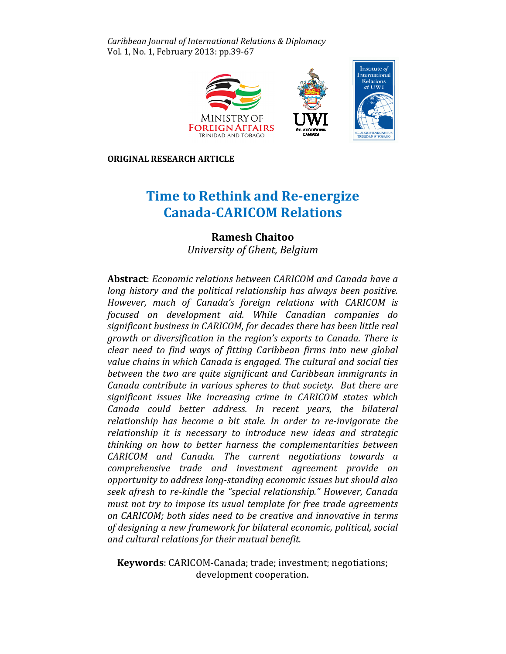Caribbean Journal of International Relations & Diplomac Diplomacy Vol. 1, No. 1, February 2013: pp.39-67



ORIGINAL RESEARCH ARTICLE

# Time to Rethink and Re-energize Canada-CARICOM Relations CARICOM

# Ramesh Chaitoo

University of Ghent, Belgium

Abstract: Economic relations between CARICOM and Canada have a long history and the political relationship has always been positive. However, much of Canada's foreign relations with CARICOM is focused on development aid. While Canadian companies do significant business in CARICOM, for decades there has been little real little real growth or diversification in the region's exports to Canada. There is clear need to find ways of fitting Caribbean firms into new global value chains in which Canada is engaged. The cultural and social ties between the two are quite significant and Caribbean immigrants in Canada contribute in various spheres to that society. But there are significant issues like increasing crime in CARICOM states which Canada could better address. In recent years, the bilateral relationship has become a bit stale. In order to re-invigorate the relationship it is necessary to introduce new ideas and strategic thinking on how to better harness the complementarities between between CARICOM and Canada. The current negotiations towards a comprehensive trade and investment agreement provide an provide an opportunity to address long-standing economic issues but should also seek afresh to re-kindle the "special relationship." However, Canada must not try to impose its usual template for free trade agreements on CARICOM; both sides need to be creative and innovative in terms of designing a new framework for bilateral economic, political, social social and cultural relations for their mutual benefit.

Keywords: CARICOM-Canada; trade; investment; negotiations; development cooperation.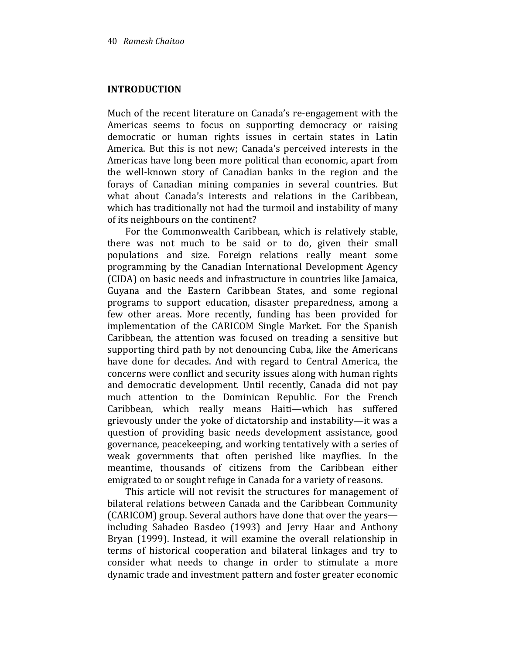## INTRODUCTION

Much of the recent literature on Canada's re-engagement with the Americas seems to focus on supporting democracy or raising democratic or human rights issues in certain states in Latin America. But this is not new; Canada's perceived interests in the Americas have long been more political than economic, apart from the well-known story of Canadian banks in the region and the forays of Canadian mining companies in several countries. But what about Canada's interests and relations in the Caribbean, which has traditionally not had the turmoil and instability of many of its neighbours on the continent?

For the Commonwealth Caribbean, which is relatively stable, there was not much to be said or to do, given their small populations and size. Foreign relations really meant some programming by the Canadian International Development Agency (CIDA) on basic needs and infrastructure in countries like Jamaica, Guyana and the Eastern Caribbean States, and some regional programs to support education, disaster preparedness, among a few other areas. More recently, funding has been provided for implementation of the CARICOM Single Market. For the Spanish Caribbean, the attention was focused on treading a sensitive but supporting third path by not denouncing Cuba, like the Americans have done for decades. And with regard to Central America, the concerns were conflict and security issues along with human rights and democratic development. Until recently, Canada did not pay much attention to the Dominican Republic. For the French Caribbean, which really means Haiti—which has suffered grievously under the yoke of dictatorship and instability—it was a question of providing basic needs development assistance, good governance, peacekeeping, and working tentatively with a series of weak governments that often perished like mayflies. In the meantime, thousands of citizens from the Caribbean either emigrated to or sought refuge in Canada for a variety of reasons.

This article will not revisit the structures for management of bilateral relations between Canada and the Caribbean Community (CARICOM) group. Several authors have done that over the years including Sahadeo Basdeo (1993) and Jerry Haar and Anthony Bryan (1999). Instead, it will examine the overall relationship in terms of historical cooperation and bilateral linkages and try to consider what needs to change in order to stimulate a more dynamic trade and investment pattern and foster greater economic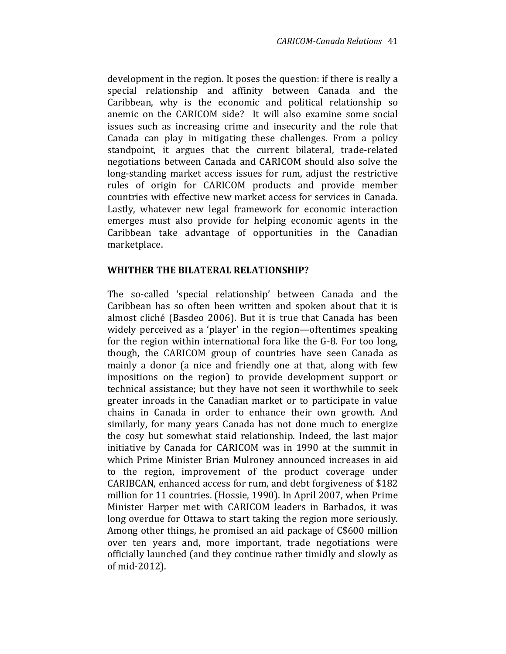development in the region. It poses the question: if there is really a special relationship and affinity between Canada and the Caribbean, why is the economic and political relationship so anemic on the CARICOM side? It will also examine some social issues such as increasing crime and insecurity and the role that Canada can play in mitigating these challenges. From a policy standpoint, it argues that the current bilateral, trade-related negotiations between Canada and CARICOM should also solve the long-standing market access issues for rum, adjust the restrictive rules of origin for CARICOM products and provide member countries with effective new market access for services in Canada. Lastly, whatever new legal framework for economic interaction emerges must also provide for helping economic agents in the Caribbean take advantage of opportunities in the Canadian marketplace.

### WHITHER THE BILATERAL RELATIONSHIP?

The so-called 'special relationship' between Canada and the Caribbean has so often been written and spoken about that it is almost cliché (Basdeo 2006). But it is true that Canada has been widely perceived as a 'player' in the region—oftentimes speaking for the region within international fora like the G-8. For too long, though, the CARICOM group of countries have seen Canada as mainly a donor (a nice and friendly one at that, along with few impositions on the region) to provide development support or technical assistance; but they have not seen it worthwhile to seek greater inroads in the Canadian market or to participate in value chains in Canada in order to enhance their own growth. And similarly, for many years Canada has not done much to energize the cosy but somewhat staid relationship. Indeed, the last major initiative by Canada for CARICOM was in 1990 at the summit in which Prime Minister Brian Mulroney announced increases in aid to the region, improvement of the product coverage under CARIBCAN, enhanced access for rum, and debt forgiveness of \$182 million for 11 countries. (Hossie, 1990). In April 2007, when Prime Minister Harper met with CARICOM leaders in Barbados, it was long overdue for Ottawa to start taking the region more seriously. Among other things, he promised an aid package of C\$600 million over ten years and, more important, trade negotiations were officially launched (and they continue rather timidly and slowly as of mid-2012).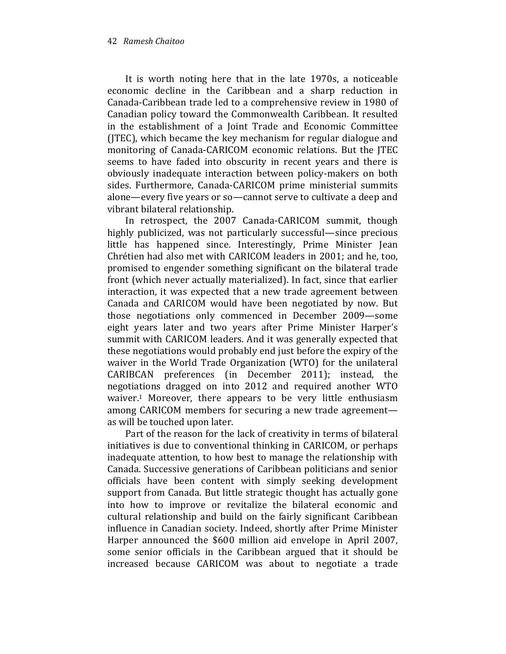It is worth noting here that in the late 1970s, a noticeable economic decline in the Caribbean and a sharp reduction in Canada-Caribbean trade led to a comprehensive review in 1980 of Canadian policy toward the Commonwealth Caribbean. It resulted in the establishment of a Joint Trade and Economic Committee (JTEC), which became the key mechanism for regular dialogue and monitoring of Canada-CARICOM economic relations. But the JTEC seems to have faded into obscurity in recent years and there is obviously inadequate interaction between policy-makers on both sides. Furthermore, Canada-CARICOM prime ministerial summits alone—every five years or so—cannot serve to cultivate a deep and vibrant bilateral relationship.

In retrospect, the 2007 Canada-CARICOM summit, though highly publicized, was not particularly successful—since precious little has happened since. Interestingly, Prime Minister Jean Chrétien had also met with CARICOM leaders in 2001; and he, too, promised to engender something significant on the bilateral trade front (which never actually materialized). In fact, since that earlier interaction, it was expected that a new trade agreement between Canada and CARICOM would have been negotiated by now. But those negotiations only commenced in December 2009—some eight years later and two years after Prime Minister Harper's summit with CARICOM leaders. And it was generally expected that these negotiations would probably end just before the expiry of the waiver in the World Trade Organization (WTO) for the unilateral CARIBCAN preferences (in December 2011); instead, the negotiations dragged on into 2012 and required another WTO waiver.1 Moreover, there appears to be very little enthusiasm among CARICOM members for securing a new trade agreement as will be touched upon later.

Part of the reason for the lack of creativity in terms of bilateral initiatives is due to conventional thinking in CARICOM, or perhaps inadequate attention, to how best to manage the relationship with Canada. Successive generations of Caribbean politicians and senior officials have been content with simply seeking development support from Canada. But little strategic thought has actually gone into how to improve or revitalize the bilateral economic and cultural relationship and build on the fairly significant Caribbean influence in Canadian society. Indeed, shortly after Prime Minister Harper announced the \$600 million aid envelope in April 2007, some senior officials in the Caribbean argued that it should be increased because CARICOM was about to negotiate a trade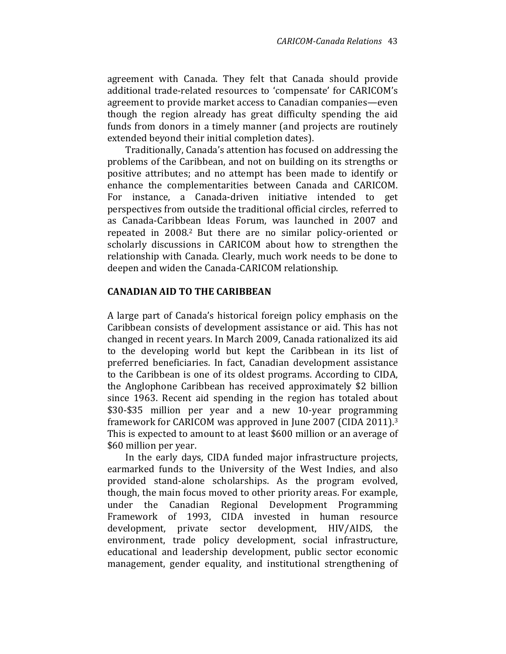agreement with Canada. They felt that Canada should provide additional trade-related resources to 'compensate' for CARICOM's agreement to provide market access to Canadian companies—even though the region already has great difficulty spending the aid funds from donors in a timely manner (and projects are routinely extended beyond their initial completion dates).

Traditionally, Canada's attention has focused on addressing the problems of the Caribbean, and not on building on its strengths or positive attributes; and no attempt has been made to identify or enhance the complementarities between Canada and CARICOM. For instance, a Canada-driven initiative intended to get perspectives from outside the traditional official circles, referred to as Canada-Caribbean Ideas Forum, was launched in 2007 and repeated in 2008.2 But there are no similar policy-oriented or scholarly discussions in CARICOM about how to strengthen the relationship with Canada. Clearly, much work needs to be done to deepen and widen the Canada-CARICOM relationship.

## CANADIAN AID TO THE CARIBBEAN

A large part of Canada's historical foreign policy emphasis on the Caribbean consists of development assistance or aid. This has not changed in recent years. In March 2009, Canada rationalized its aid to the developing world but kept the Caribbean in its list of preferred beneficiaries. In fact, Canadian development assistance to the Caribbean is one of its oldest programs. According to CIDA, the Anglophone Caribbean has received approximately \$2 billion since 1963. Recent aid spending in the region has totaled about \$30-\$35 million per year and a new 10-year programming framework for CARICOM was approved in June 2007 (CIDA 2011).<sup>3</sup> This is expected to amount to at least \$600 million or an average of \$60 million per year.

In the early days, CIDA funded major infrastructure projects, earmarked funds to the University of the West Indies, and also provided stand-alone scholarships. As the program evolved, though, the main focus moved to other priority areas. For example, under the Canadian Regional Development Programming Framework of 1993, CIDA invested in human resource development, private sector development, HIV/AIDS, the environment, trade policy development, social infrastructure, educational and leadership development, public sector economic management, gender equality, and institutional strengthening of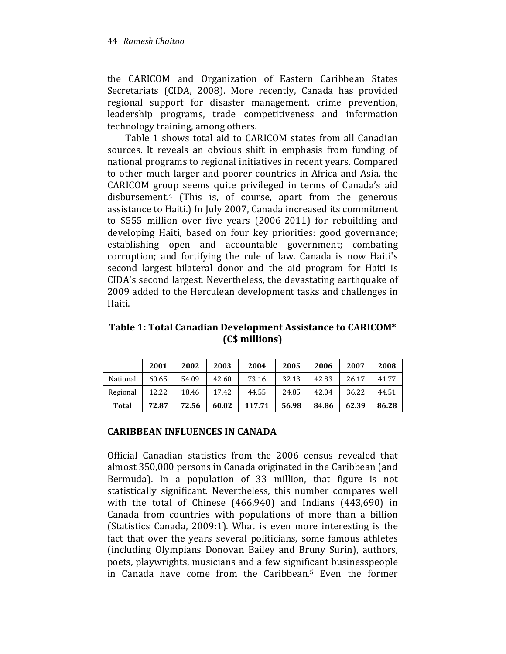the CARICOM and Organization of Eastern Caribbean States Secretariats (CIDA, 2008). More recently, Canada has provided regional support for disaster management, crime prevention, leadership programs, trade competitiveness and information technology training, among others.

Table 1 shows total aid to CARICOM states from all Canadian sources. It reveals an obvious shift in emphasis from funding of national programs to regional initiatives in recent years. Compared to other much larger and poorer countries in Africa and Asia, the CARICOM group seems quite privileged in terms of Canada's aid disbursement.4 (This is, of course, apart from the generous assistance to Haiti.) In July 2007, Canada increased its commitment to \$555 million over five years (2006-2011) for rebuilding and developing Haiti, based on four key priorities: good governance; establishing open and accountable government; combating corruption; and fortifying the rule of law. Canada is now Haiti's second largest bilateral donor and the aid program for Haiti is CIDA's second largest. Nevertheless, the devastating earthquake of 2009 added to the Herculean development tasks and challenges in Haiti.

Table 1: Total Canadian Development Assistance to CARICOM\* (C\$ millions)

|          | 2001  | 2002  | 2003  | 2004   | 2005  | 2006  | 2007  | 2008  |
|----------|-------|-------|-------|--------|-------|-------|-------|-------|
| National | 60.65 | 54.09 | 42.60 | 73.16  | 32.13 | 42.83 | 26.17 | 41.77 |
| Regional | 12.22 | 18.46 | 17.42 | 44.55  | 24.85 | 42.04 | 36.22 | 44.51 |
| Total    | 72.87 | 72.56 | 60.02 | 117.71 | 56.98 | 84.86 | 62.39 | 86.28 |

# CARIBBEAN INFLUENCES IN CANADA

Official Canadian statistics from the 2006 census revealed that almost 350,000 persons in Canada originated in the Caribbean (and Bermuda). In a population of 33 million, that figure is not statistically significant. Nevertheless, this number compares well with the total of Chinese (466,940) and Indians (443,690) in Canada from countries with populations of more than a billion (Statistics Canada, 2009:1). What is even more interesting is the fact that over the years several politicians, some famous athletes (including Olympians Donovan Bailey and Bruny Surin), authors, poets, playwrights, musicians and a few significant businesspeople in Canada have come from the Caribbean.5 Even the former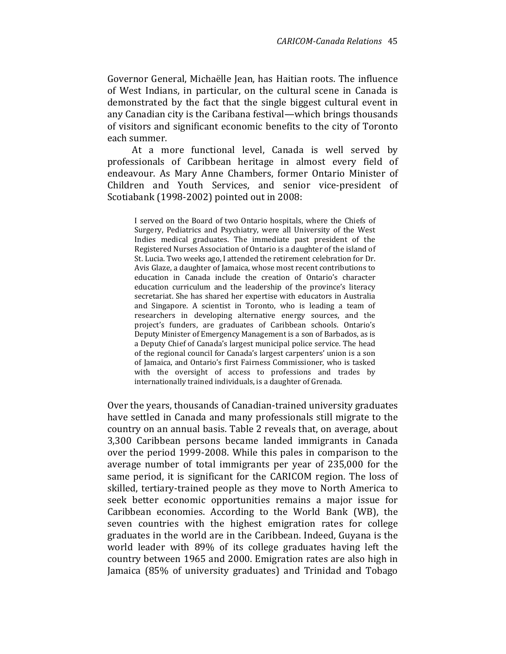Governor General, Michaëlle Jean, has Haitian roots. The influence of West Indians, in particular, on the cultural scene in Canada is demonstrated by the fact that the single biggest cultural event in any Canadian city is the Caribana festival—which brings thousands of visitors and significant economic benefits to the city of Toronto each summer.

 At a more functional level, Canada is well served by professionals of Caribbean heritage in almost every field of endeavour. As Mary Anne Chambers, former Ontario Minister of Children and Youth Services, and senior vice-president of Scotiabank (1998-2002) pointed out in 2008:

I served on the Board of two Ontario hospitals, where the Chiefs of Surgery, Pediatrics and Psychiatry, were all University of the West Indies medical graduates. The immediate past president of the Registered Nurses Association of Ontario is a daughter of the island of St. Lucia. Two weeks ago, I attended the retirement celebration for Dr. Avis Glaze, a daughter of Jamaica, whose most recent contributions to education in Canada include the creation of Ontario's character education curriculum and the leadership of the province's literacy secretariat. She has shared her expertise with educators in Australia and Singapore. A scientist in Toronto, who is leading a team of researchers in developing alternative energy sources, and the project's funders, are graduates of Caribbean schools. Ontario's Deputy Minister of Emergency Management is a son of Barbados, as is a Deputy Chief of Canada's largest municipal police service. The head of the regional council for Canada's largest carpenters' union is a son of Jamaica, and Ontario's first Fairness Commissioner, who is tasked with the oversight of access to professions and trades by internationally trained individuals, is a daughter of Grenada.

Over the years, thousands of Canadian-trained university graduates have settled in Canada and many professionals still migrate to the country on an annual basis. Table 2 reveals that, on average, about 3,300 Caribbean persons became landed immigrants in Canada over the period 1999-2008. While this pales in comparison to the average number of total immigrants per year of 235,000 for the same period, it is significant for the CARICOM region. The loss of skilled, tertiary-trained people as they move to North America to seek better economic opportunities remains a major issue for Caribbean economies. According to the World Bank (WB), the seven countries with the highest emigration rates for college graduates in the world are in the Caribbean. Indeed, Guyana is the world leader with 89% of its college graduates having left the country between 1965 and 2000. Emigration rates are also high in Jamaica (85% of university graduates) and Trinidad and Tobago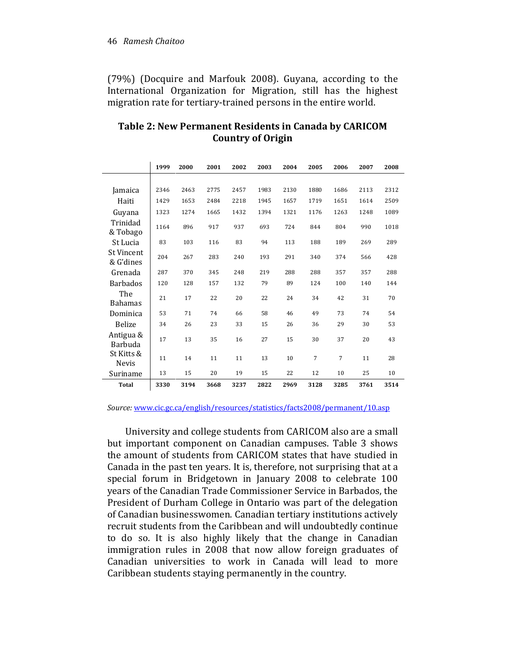(79%) (Docquire and Marfouk 2008). Guyana, according to the International Organization for Migration, still has the highest migration rate for tertiary-trained persons in the entire world.

|                                | 1999 | 2000 | 2001 | 2002 | 2003 | 2004 | 2005 | 2006 | 2007 | 2008 |
|--------------------------------|------|------|------|------|------|------|------|------|------|------|
|                                |      |      |      |      |      |      |      |      |      |      |
| Jamaica                        | 2346 | 2463 | 2775 | 2457 | 1983 | 2130 | 1880 | 1686 | 2113 | 2312 |
| Haiti                          | 1429 | 1653 | 2484 | 2218 | 1945 | 1657 | 1719 | 1651 | 1614 | 2509 |
| Guyana                         | 1323 | 1274 | 1665 | 1432 | 1394 | 1321 | 1176 | 1263 | 1248 | 1089 |
| Trinidad<br>& Tobago           | 1164 | 896  | 917  | 937  | 693  | 724  | 844  | 804  | 990  | 1018 |
| St Lucia                       | 83   | 103  | 116  | 83   | 94   | 113  | 188  | 189  | 269  | 289  |
| <b>St Vincent</b><br>& G'dines | 204  | 267  | 283  | 240  | 193  | 291  | 340  | 374  | 566  | 428  |
| Grenada                        | 287  | 370  | 345  | 248  | 219  | 288  | 288  | 357  | 357  | 288  |
| <b>Barbados</b>                | 120  | 128  | 157  | 132  | 79   | 89   | 124  | 100  | 140  | 144  |
| The<br><b>Bahamas</b>          | 21   | 17   | 22   | 20   | 22   | 24   | 34   | 42   | 31   | 70   |
| Dominica                       | 53   | 71   | 74   | 66   | 58   | 46   | 49   | 73   | 74   | 54   |
| Belize                         | 34   | 26   | 23   | 33   | 15   | 26   | 36   | 29   | 30   | 53   |
| Antigua &<br>Barbuda           | 17   | 13   | 35   | 16   | 27   | 15   | 30   | 37   | 20   | 43   |
| St Kitts &<br>Nevis            | 11   | 14   | 11   | 11   | 13   | 10   | 7    | 7    | 11   | 28   |
| Suriname                       | 13   | 15   | 20   | 19   | 15   | 22   | 12   | 10   | 25   | 10   |
| <b>Total</b>                   | 3330 | 3194 | 3668 | 3237 | 2822 | 2969 | 3128 | 3285 | 3761 | 3514 |

# Table 2: New Permanent Residents in Canada by CARICOM Country of Origin

#### Source: www.cic.gc.ca/english/resources/statistics/facts2008/permanent/10.asp

University and college students from CARICOM also are a small but important component on Canadian campuses. Table 3 shows the amount of students from CARICOM states that have studied in Canada in the past ten years. It is, therefore, not surprising that at a special forum in Bridgetown in January 2008 to celebrate 100 years of the Canadian Trade Commissioner Service in Barbados, the President of Durham College in Ontario was part of the delegation of Canadian businesswomen. Canadian tertiary institutions actively recruit students from the Caribbean and will undoubtedly continue to do so. It is also highly likely that the change in Canadian immigration rules in 2008 that now allow foreign graduates of Canadian universities to work in Canada will lead to more Caribbean students staying permanently in the country.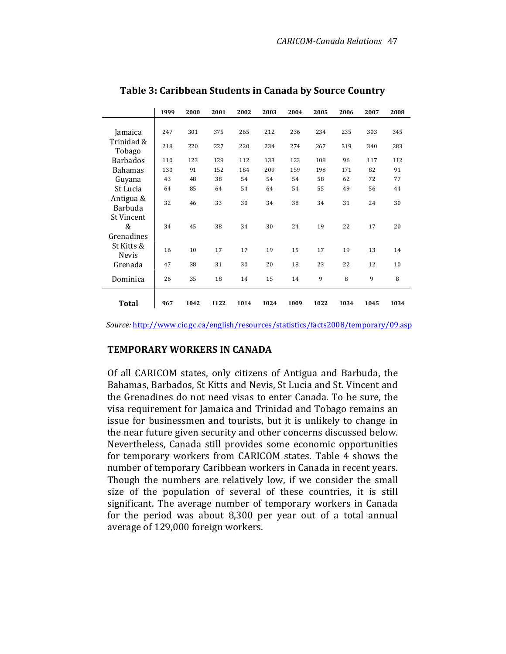|                            | 1999 | 2000 | 2001 | 2002 | 2003 | 2004 | 2005 | 2006 | 2007 | 2008 |
|----------------------------|------|------|------|------|------|------|------|------|------|------|
| Jamaica                    | 247  | 301  | 375  | 265  | 212  | 236  | 234  | 235  | 303  | 345  |
| Trinidad &                 | 218  | 220  | 227  | 220  | 234  | 274  | 267  | 319  | 340  | 283  |
| Tobago                     |      |      |      |      |      |      |      |      |      |      |
| <b>Barbados</b>            | 110  | 123  | 129  | 112  | 133  | 123  | 108  | 96   | 117  | 112  |
| <b>Bahamas</b>             | 130  | 91   | 152  | 184  | 209  | 159  | 198  | 171  | 82   | 91   |
| Guyana                     | 43   | 48   | 38   | 54   | 54   | 54   | 58   | 62   | 72   | 77   |
| St Lucia                   | 64   | 85   | 64   | 54   | 64   | 54   | 55   | 49   | 56   | 44   |
| Antigua &<br>Barbuda       | 32   | 46   | 33   | 30   | 34   | 38   | 34   | 31   | 24   | 30   |
| <b>St Vincent</b><br>&     | 34   | 45   | 38   | 34   | 30   | 24   | 19   | 22   | 17   | 20   |
| Grenadines                 |      |      |      |      |      |      |      |      |      |      |
| St Kitts &<br><b>Nevis</b> | 16   | 10   | 17   | 17   | 19   | 15   | 17   | 19   | 13   | 14   |
| Grenada                    | 47   | 38   | 31   | 30   | 20   | 18   | 23   | 22   | 12   | 10   |
| Dominica                   | 26   | 35   | 18   | 14   | 15   | 14   | 9    | 8    | 9    | 8    |
| <b>Total</b>               | 967  | 1042 | 1122 | 1014 | 1024 | 1009 | 1022 | 1034 | 1045 | 1034 |

Table 3: Caribbean Students in Canada by Source Country

Source: http://www.cic.gc.ca/english/resources/statistics/facts2008/temporary/09.asp

### TEMPORARY WORKERS IN CANADA

Of all CARICOM states, only citizens of Antigua and Barbuda, the Bahamas, Barbados, St Kitts and Nevis, St Lucia and St. Vincent and the Grenadines do not need visas to enter Canada. To be sure, the visa requirement for Jamaica and Trinidad and Tobago remains an issue for businessmen and tourists, but it is unlikely to change in the near future given security and other concerns discussed below. Nevertheless, Canada still provides some economic opportunities for temporary workers from CARICOM states. Table 4 shows the number of temporary Caribbean workers in Canada in recent years. Though the numbers are relatively low, if we consider the small size of the population of several of these countries, it is still significant. The average number of temporary workers in Canada for the period was about 8,300 per year out of a total annual average of 129,000 foreign workers.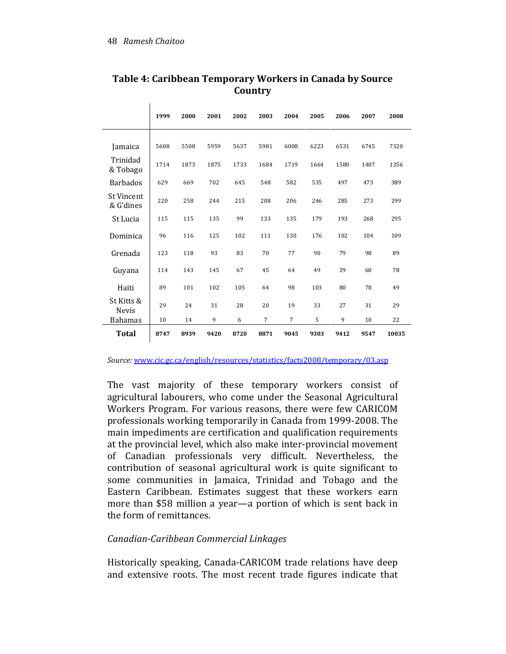$\mathbf{r}$ 

|                                | 1999 | 2000 | 2001 | 2002 | 2003 | 2004           | 2005 | 2006 | 2007 | 2008  |
|--------------------------------|------|------|------|------|------|----------------|------|------|------|-------|
|                                |      |      |      |      |      |                |      |      |      |       |
| Jamaica                        | 5608 | 5508 | 5959 | 5637 | 5981 | 6008           | 6223 | 6531 | 6745 | 7320  |
| Trinidad<br>& Tobago           | 1714 | 1873 | 1875 | 1733 | 1684 | 1719           | 1664 | 1580 | 1407 | 1356  |
| <b>Barbados</b>                | 629  | 669  | 702  | 645  | 548  | 582            | 535  | 497  | 473  | 389   |
| <b>St Vincent</b><br>& G'dines | 220  | 258  | 244  | 215  | 208  | 206            | 246  | 285  | 273  | 299   |
| St Lucia                       | 115  | 115  | 135  | 99   | 133  | 135            | 179  | 193  | 268  | 295   |
| Dominica                       | 96   | 116  | 125  | 102  | 111  | 130            | 176  | 102  | 104  | 109   |
| Grenada                        | 123  | 118  | 93   | 83   | 70   | 77             | 90   | 79   | 98   | 89    |
| Guyana                         | 114  | 143  | 145  | 67   | 45   | 64             | 49   | 29   | 60   | 78    |
| Haiti                          | 89   | 101  | 102  | 105  | 64   | 98             | 103  | 80   | 78   | 49    |
| St Kitts &<br><b>Nevis</b>     | 29   | 24   | 31   | 28   | 20   | 19             | 33   | 27   | 31   | 29    |
| <b>Bahamas</b>                 | 10   | 14   | 9    | 6    | 7    | $\overline{7}$ | 5    | 9    | 10   | 22    |
| <b>Total</b>                   | 8747 | 8939 | 9420 | 8720 | 8871 | 9045           | 9303 | 9412 | 9547 | 10035 |

# Table 4: Caribbean Temporary Workers in Canada by Source **Country**

#### Source: www.cic.gc.ca/english/resources/statistics/facts2008/temporary/03.asp

The vast majority of these temporary workers consist of agricultural labourers, who come under the Seasonal Agricultural Workers Program. For various reasons, there were few CARICOM professionals working temporarily in Canada from 1999-2008. The main impediments are certification and qualification requirements at the provincial level, which also make inter-provincial movement of Canadian professionals very difficult. Nevertheless, the contribution of seasonal agricultural work is quite significant to some communities in Jamaica, Trinidad and Tobago and the Eastern Caribbean. Estimates suggest that these workers earn more than \$58 million a year—a portion of which is sent back in the form of remittances.

## Canadian-Caribbean Commercial Linkages

Historically speaking, Canada-CARICOM trade relations have deep and extensive roots. The most recent trade figures indicate that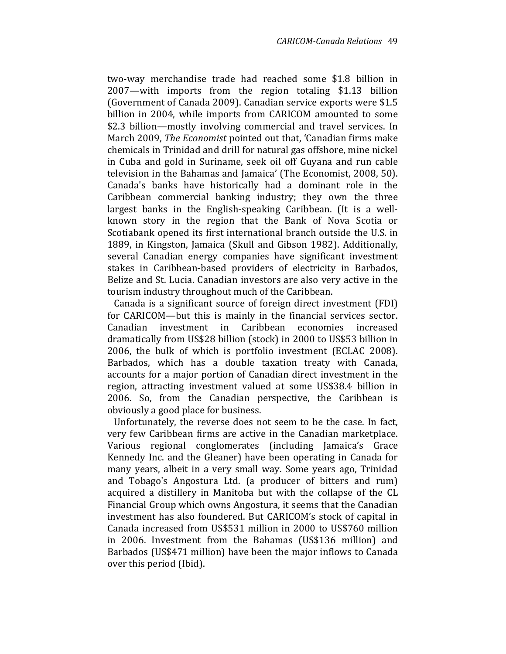two-way merchandise trade had reached some \$1.8 billion in 2007—with imports from the region totaling \$1.13 billion (Government of Canada 2009). Canadian service exports were \$1.5 billion in 2004, while imports from CARICOM amounted to some \$2.3 billion—mostly involving commercial and travel services. In March 2009, The Economist pointed out that, 'Canadian firms make chemicals in Trinidad and drill for natural gas offshore, mine nickel in Cuba and gold in Suriname, seek oil off Guyana and run cable television in the Bahamas and Jamaica' (The Economist, 2008, 50). Canada's banks have historically had a dominant role in the Caribbean commercial banking industry; they own the three largest banks in the English-speaking Caribbean. (It is a wellknown story in the region that the Bank of Nova Scotia or Scotiabank opened its first international branch outside the U.S. in 1889, in Kingston, Jamaica (Skull and Gibson 1982). Additionally, several Canadian energy companies have significant investment stakes in Caribbean-based providers of electricity in Barbados, Belize and St. Lucia. Canadian investors are also very active in the tourism industry throughout much of the Caribbean.

 Canada is a significant source of foreign direct investment (FDI) for CARICOM—but this is mainly in the financial services sector. Canadian investment in Caribbean economies increased dramatically from US\$28 billion (stock) in 2000 to US\$53 billion in 2006, the bulk of which is portfolio investment (ECLAC 2008). Barbados, which has a double taxation treaty with Canada, accounts for a major portion of Canadian direct investment in the region, attracting investment valued at some US\$38.4 billion in 2006. So, from the Canadian perspective, the Caribbean is obviously a good place for business.

 Unfortunately, the reverse does not seem to be the case. In fact, very few Caribbean firms are active in the Canadian marketplace. Various regional conglomerates (including Jamaica's Grace Kennedy Inc. and the Gleaner) have been operating in Canada for many years, albeit in a very small way. Some years ago, Trinidad and Tobago's Angostura Ltd. (a producer of bitters and rum) acquired a distillery in Manitoba but with the collapse of the CL Financial Group which owns Angostura, it seems that the Canadian investment has also foundered. But CARICOM's stock of capital in Canada increased from US\$531 million in 2000 to US\$760 million in 2006. Investment from the Bahamas (US\$136 million) and Barbados (US\$471 million) have been the major inflows to Canada over this period (Ibid).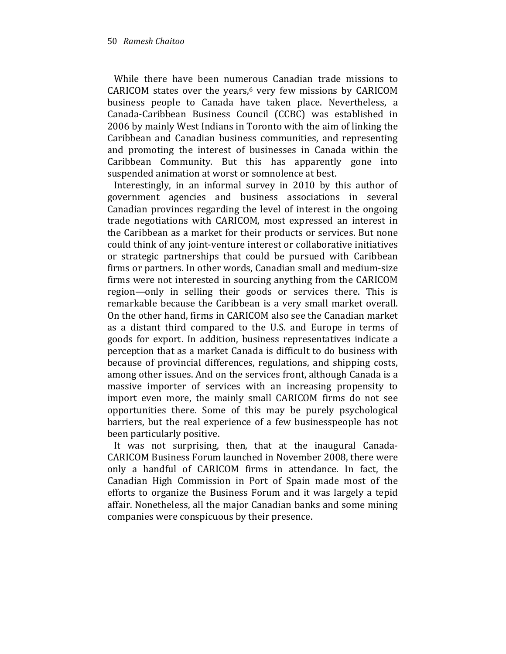While there have been numerous Canadian trade missions to  $CARICOM$  states over the years, $6$  very few missions by  $CARICOM$ business people to Canada have taken place. Nevertheless, a Canada-Caribbean Business Council (CCBC) was established in 2006 by mainly West Indians in Toronto with the aim of linking the Caribbean and Canadian business communities, and representing and promoting the interest of businesses in Canada within the Caribbean Community. But this has apparently gone into suspended animation at worst or somnolence at best.

 Interestingly, in an informal survey in 2010 by this author of government agencies and business associations in several Canadian provinces regarding the level of interest in the ongoing trade negotiations with CARICOM, most expressed an interest in the Caribbean as a market for their products or services. But none could think of any joint-venture interest or collaborative initiatives or strategic partnerships that could be pursued with Caribbean firms or partners. In other words, Canadian small and medium-size firms were not interested in sourcing anything from the CARICOM region—only in selling their goods or services there. This is remarkable because the Caribbean is a very small market overall. On the other hand, firms in CARICOM also see the Canadian market as a distant third compared to the U.S. and Europe in terms of goods for export. In addition, business representatives indicate a perception that as a market Canada is difficult to do business with because of provincial differences, regulations, and shipping costs, among other issues. And on the services front, although Canada is a massive importer of services with an increasing propensity to import even more, the mainly small CARICOM firms do not see opportunities there. Some of this may be purely psychological barriers, but the real experience of a few businesspeople has not been particularly positive.

 It was not surprising, then, that at the inaugural Canada-CARICOM Business Forum launched in November 2008, there were only a handful of CARICOM firms in attendance. In fact, the Canadian High Commission in Port of Spain made most of the efforts to organize the Business Forum and it was largely a tepid affair. Nonetheless, all the major Canadian banks and some mining companies were conspicuous by their presence.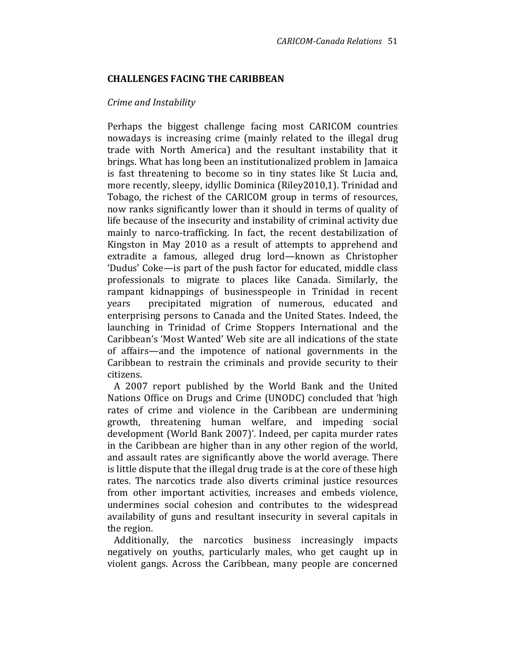## CHALLENGES FACING THE CARIBBEAN

### Crime and Instability

Perhaps the biggest challenge facing most CARICOM countries nowadays is increasing crime (mainly related to the illegal drug trade with North America) and the resultant instability that it brings. What has long been an institutionalized problem in Jamaica is fast threatening to become so in tiny states like St Lucia and, more recently, sleepy, idyllic Dominica (Riley2010,1). Trinidad and Tobago, the richest of the CARICOM group in terms of resources, now ranks significantly lower than it should in terms of quality of life because of the insecurity and instability of criminal activity due mainly to narco-trafficking. In fact, the recent destabilization of Kingston in May 2010 as a result of attempts to apprehend and extradite a famous, alleged drug lord—known as Christopher 'Dudus' Coke—is part of the push factor for educated, middle class professionals to migrate to places like Canada. Similarly, the rampant kidnappings of businesspeople in Trinidad in recent years precipitated migration of numerous, educated and enterprising persons to Canada and the United States. Indeed, the launching in Trinidad of Crime Stoppers International and the Caribbean's 'Most Wanted' Web site are all indications of the state of affairs—and the impotence of national governments in the Caribbean to restrain the criminals and provide security to their citizens.

 A 2007 report published by the World Bank and the United Nations Office on Drugs and Crime (UNODC) concluded that 'high rates of crime and violence in the Caribbean are undermining growth, threatening human welfare, and impeding social development (World Bank 2007)'. Indeed, per capita murder rates in the Caribbean are higher than in any other region of the world, and assault rates are significantly above the world average. There is little dispute that the illegal drug trade is at the core of these high rates. The narcotics trade also diverts criminal justice resources from other important activities, increases and embeds violence, undermines social cohesion and contributes to the widespread availability of guns and resultant insecurity in several capitals in the region.

 Additionally, the narcotics business increasingly impacts negatively on youths, particularly males, who get caught up in violent gangs. Across the Caribbean, many people are concerned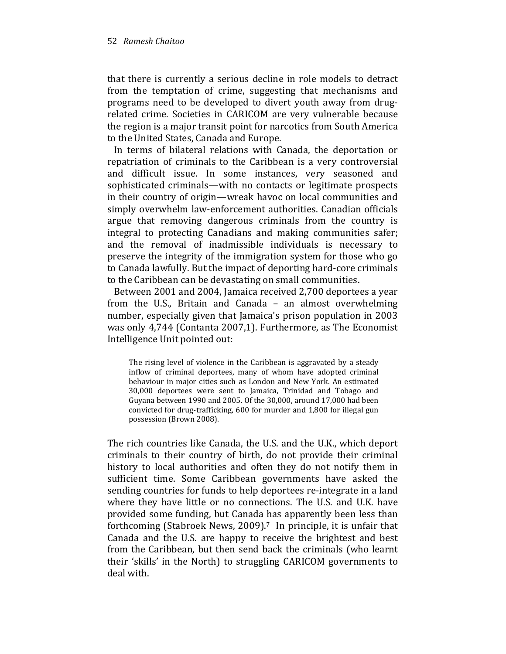that there is currently a serious decline in role models to detract from the temptation of crime, suggesting that mechanisms and programs need to be developed to divert youth away from drugrelated crime. Societies in CARICOM are very vulnerable because the region is a major transit point for narcotics from South America to the United States, Canada and Europe.

 In terms of bilateral relations with Canada, the deportation or repatriation of criminals to the Caribbean is a very controversial and difficult issue. In some instances, very seasoned and sophisticated criminals—with no contacts or legitimate prospects in their country of origin—wreak havoc on local communities and simply overwhelm law-enforcement authorities. Canadian officials argue that removing dangerous criminals from the country is integral to protecting Canadians and making communities safer; and the removal of inadmissible individuals is necessary to preserve the integrity of the immigration system for those who go to Canada lawfully. But the impact of deporting hard-core criminals to the Caribbean can be devastating on small communities.

 Between 2001 and 2004, Jamaica received 2,700 deportees a year from the U.S., Britain and Canada – an almost overwhelming number, especially given that Jamaica's prison population in 2003 was only 4,744 (Contanta 2007,1). Furthermore, as The Economist Intelligence Unit pointed out:

The rising level of violence in the Caribbean is aggravated by a steady inflow of criminal deportees, many of whom have adopted criminal behaviour in major cities such as London and New York. An estimated 30,000 deportees were sent to Jamaica, Trinidad and Tobago and Guyana between 1990 and 2005. Of the 30,000, around 17,000 had been convicted for drug-trafficking, 600 for murder and 1,800 for illegal gun possession (Brown 2008).

The rich countries like Canada, the U.S. and the U.K., which deport criminals to their country of birth, do not provide their criminal history to local authorities and often they do not notify them in sufficient time. Some Caribbean governments have asked the sending countries for funds to help deportees re-integrate in a land where they have little or no connections. The U.S. and U.K. have provided some funding, but Canada has apparently been less than forthcoming (Stabroek News, 2009).7 In principle, it is unfair that Canada and the U.S. are happy to receive the brightest and best from the Caribbean, but then send back the criminals (who learnt their 'skills' in the North) to struggling CARICOM governments to deal with.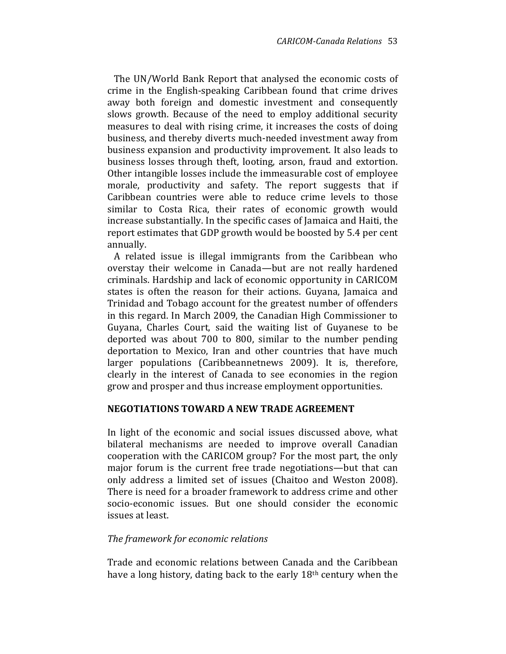The UN/World Bank Report that analysed the economic costs of crime in the English-speaking Caribbean found that crime drives away both foreign and domestic investment and consequently slows growth. Because of the need to employ additional security measures to deal with rising crime, it increases the costs of doing business, and thereby diverts much-needed investment away from business expansion and productivity improvement. It also leads to business losses through theft, looting, arson, fraud and extortion. Other intangible losses include the immeasurable cost of employee morale, productivity and safety. The report suggests that if Caribbean countries were able to reduce crime levels to those similar to Costa Rica, their rates of economic growth would increase substantially. In the specific cases of Jamaica and Haiti, the report estimates that GDP growth would be boosted by 5.4 per cent annually.

 A related issue is illegal immigrants from the Caribbean who overstay their welcome in Canada—but are not really hardened criminals. Hardship and lack of economic opportunity in CARICOM states is often the reason for their actions. Guyana, Jamaica and Trinidad and Tobago account for the greatest number of offenders in this regard. In March 2009, the Canadian High Commissioner to Guyana, Charles Court, said the waiting list of Guyanese to be deported was about 700 to 800, similar to the number pending deportation to Mexico, Iran and other countries that have much larger populations (Caribbeannetnews 2009). It is, therefore, clearly in the interest of Canada to see economies in the region grow and prosper and thus increase employment opportunities.

### NEGOTIATIONS TOWARD A NEW TRADE AGREEMENT

In light of the economic and social issues discussed above, what bilateral mechanisms are needed to improve overall Canadian cooperation with the CARICOM group? For the most part, the only major forum is the current free trade negotiations—but that can only address a limited set of issues (Chaitoo and Weston 2008). There is need for a broader framework to address crime and other socio-economic issues. But one should consider the economic issues at least.

### The framework for economic relations

Trade and economic relations between Canada and the Caribbean have a long history, dating back to the early 18th century when the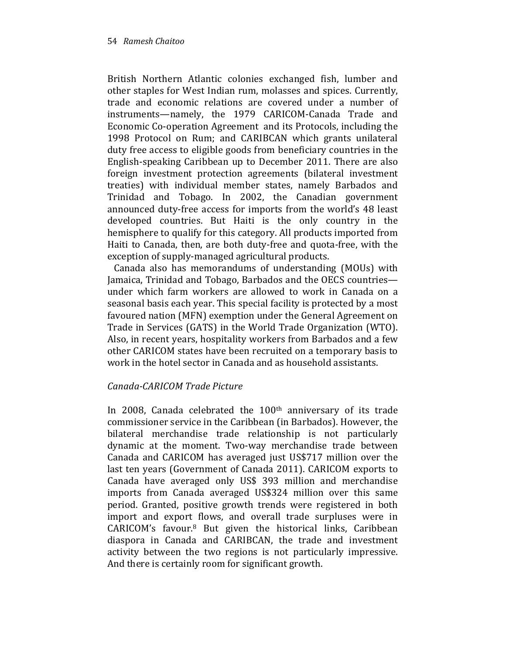British Northern Atlantic colonies exchanged fish, lumber and other staples for West Indian rum, molasses and spices. Currently, trade and economic relations are covered under a number of instruments—namely, the 1979 CARICOM-Canada Trade and Economic Co-operation Agreement and its Protocols, including the 1998 Protocol on Rum; and CARIBCAN which grants unilateral duty free access to eligible goods from beneficiary countries in the English-speaking Caribbean up to December 2011. There are also foreign investment protection agreements (bilateral investment treaties) with individual member states, namely Barbados and Trinidad and Tobago. In 2002, the Canadian government announced duty-free access for imports from the world's 48 least developed countries. But Haiti is the only country in the hemisphere to qualify for this category. All products imported from Haiti to Canada, then, are both duty-free and quota-free, with the exception of supply-managed agricultural products.

 Canada also has memorandums of understanding (MOUs) with Jamaica, Trinidad and Tobago, Barbados and the OECS countries under which farm workers are allowed to work in Canada on a seasonal basis each year. This special facility is protected by a most favoured nation (MFN) exemption under the General Agreement on Trade in Services (GATS) in the World Trade Organization (WTO). Also, in recent years, hospitality workers from Barbados and a few other CARICOM states have been recruited on a temporary basis to work in the hotel sector in Canada and as household assistants.

# Canada-CARICOM Trade Picture

In 2008, Canada celebrated the 100<sup>th</sup> anniversary of its trade commissioner service in the Caribbean (in Barbados). However, the bilateral merchandise trade relationship is not particularly dynamic at the moment. Two-way merchandise trade between Canada and CARICOM has averaged just US\$717 million over the last ten years (Government of Canada 2011). CARICOM exports to Canada have averaged only US\$ 393 million and merchandise imports from Canada averaged US\$324 million over this same period. Granted, positive growth trends were registered in both import and export flows, and overall trade surpluses were in CARICOM's favour.8 But given the historical links, Caribbean diaspora in Canada and CARIBCAN, the trade and investment activity between the two regions is not particularly impressive. And there is certainly room for significant growth.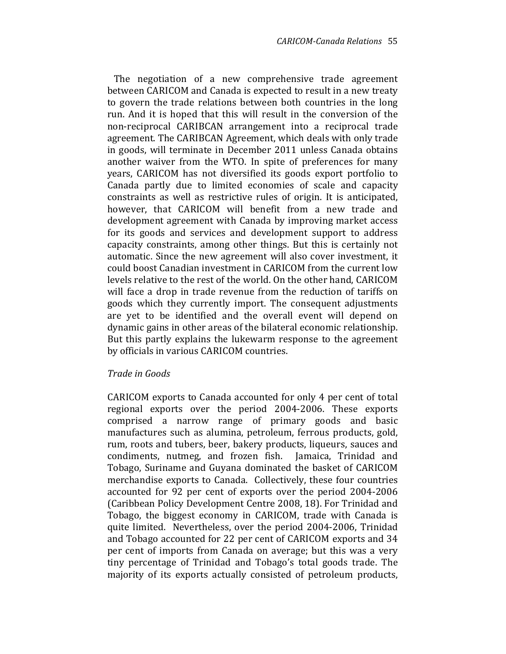The negotiation of a new comprehensive trade agreement between CARICOM and Canada is expected to result in a new treaty to govern the trade relations between both countries in the long run. And it is hoped that this will result in the conversion of the non-reciprocal CARIBCAN arrangement into a reciprocal trade agreement. The CARIBCAN Agreement, which deals with only trade in goods, will terminate in December 2011 unless Canada obtains another waiver from the WTO. In spite of preferences for many years, CARICOM has not diversified its goods export portfolio to Canada partly due to limited economies of scale and capacity constraints as well as restrictive rules of origin. It is anticipated, however, that CARICOM will benefit from a new trade and development agreement with Canada by improving market access for its goods and services and development support to address capacity constraints, among other things. But this is certainly not automatic. Since the new agreement will also cover investment, it could boost Canadian investment in CARICOM from the current low levels relative to the rest of the world. On the other hand, CARICOM will face a drop in trade revenue from the reduction of tariffs on goods which they currently import. The consequent adjustments are yet to be identified and the overall event will depend on dynamic gains in other areas of the bilateral economic relationship. But this partly explains the lukewarm response to the agreement by officials in various CARICOM countries.

## Trade in Goods

CARICOM exports to Canada accounted for only 4 per cent of total regional exports over the period 2004-2006. These exports comprised a narrow range of primary goods and basic manufactures such as alumina, petroleum, ferrous products, gold, rum, roots and tubers, beer, bakery products, liqueurs, sauces and condiments, nutmeg, and frozen fish. Jamaica, Trinidad and Tobago, Suriname and Guyana dominated the basket of CARICOM merchandise exports to Canada. Collectively, these four countries accounted for 92 per cent of exports over the period 2004-2006 (Caribbean Policy Development Centre 2008, 18). For Trinidad and Tobago, the biggest economy in CARICOM, trade with Canada is quite limited. Nevertheless, over the period 2004-2006, Trinidad and Tobago accounted for 22 per cent of CARICOM exports and 34 per cent of imports from Canada on average; but this was a very tiny percentage of Trinidad and Tobago's total goods trade. The majority of its exports actually consisted of petroleum products,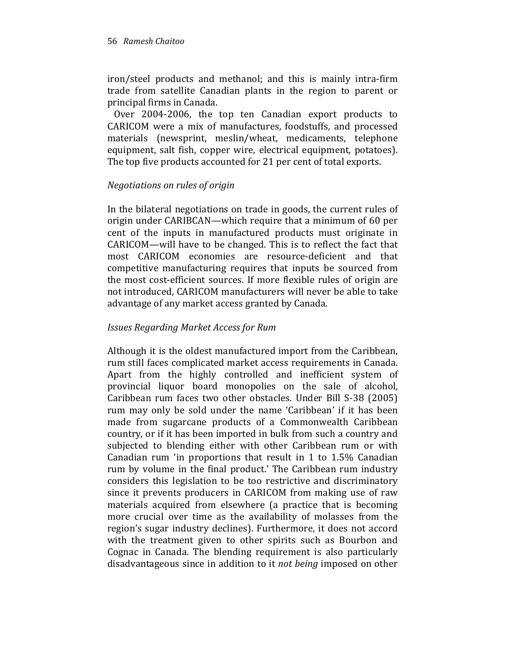iron/steel products and methanol; and this is mainly intra-firm trade from satellite Canadian plants in the region to parent or principal firms in Canada.

 Over 2004-2006, the top ten Canadian export products to CARICOM were a mix of manufactures, foodstuffs, and processed materials (newsprint, meslin/wheat, medicaments, telephone equipment, salt fish, copper wire, electrical equipment, potatoes). The top five products accounted for 21 per cent of total exports.

# Negotiations on rules of origin

In the bilateral negotiations on trade in goods, the current rules of origin under CARIBCAN—which require that a minimum of 60 per cent of the inputs in manufactured products must originate in CARICOM—will have to be changed. This is to reflect the fact that most CARICOM economies are resource-deficient and that competitive manufacturing requires that inputs be sourced from the most cost-efficient sources. If more flexible rules of origin are not introduced, CARICOM manufacturers will never be able to take advantage of any market access granted by Canada.

# Issues Regarding Market Access for Rum

Although it is the oldest manufactured import from the Caribbean, rum still faces complicated market access requirements in Canada. Apart from the highly controlled and inefficient system of provincial liquor board monopolies on the sale of alcohol, Caribbean rum faces two other obstacles. Under Bill S-38 (2005) rum may only be sold under the name 'Caribbean' if it has been made from sugarcane products of a Commonwealth Caribbean country, or if it has been imported in bulk from such a country and subjected to blending either with other Caribbean rum or with Canadian rum 'in proportions that result in 1 to 1.5% Canadian rum by volume in the final product.' The Caribbean rum industry considers this legislation to be too restrictive and discriminatory since it prevents producers in CARICOM from making use of raw materials acquired from elsewhere (a practice that is becoming more crucial over time as the availability of molasses from the region's sugar industry declines). Furthermore, it does not accord with the treatment given to other spirits such as Bourbon and Cognac in Canada. The blending requirement is also particularly disadvantageous since in addition to it not being imposed on other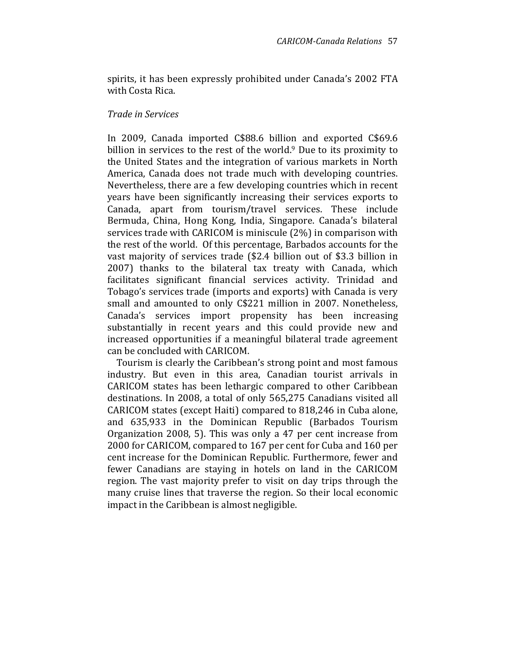spirits, it has been expressly prohibited under Canada's 2002 FTA with Costa Rica.

### Trade in Services

In 2009, Canada imported C\$88.6 billion and exported C\$69.6 billion in services to the rest of the world.<sup>9</sup> Due to its proximity to the United States and the integration of various markets in North America, Canada does not trade much with developing countries. Nevertheless, there are a few developing countries which in recent years have been significantly increasing their services exports to Canada, apart from tourism/travel services. These include Bermuda, China, Hong Kong, India, Singapore. Canada's bilateral services trade with CARICOM is miniscule (2%) in comparison with the rest of the world. Of this percentage, Barbados accounts for the vast majority of services trade (\$2.4 billion out of \$3.3 billion in 2007) thanks to the bilateral tax treaty with Canada, which facilitates significant financial services activity. Trinidad and Tobago's services trade (imports and exports) with Canada is very small and amounted to only C\$221 million in 2007. Nonetheless, Canada's services import propensity has been increasing substantially in recent years and this could provide new and increased opportunities if a meaningful bilateral trade agreement can be concluded with CARICOM.

Tourism is clearly the Caribbean's strong point and most famous industry. But even in this area, Canadian tourist arrivals in CARICOM states has been lethargic compared to other Caribbean destinations. In 2008, a total of only 565,275 Canadians visited all CARICOM states (except Haiti) compared to 818,246 in Cuba alone, and 635,933 in the Dominican Republic (Barbados Tourism Organization 2008, 5). This was only a 47 per cent increase from 2000 for CARICOM, compared to 167 per cent for Cuba and 160 per cent increase for the Dominican Republic. Furthermore, fewer and fewer Canadians are staying in hotels on land in the CARICOM region. The vast majority prefer to visit on day trips through the many cruise lines that traverse the region. So their local economic impact in the Caribbean is almost negligible.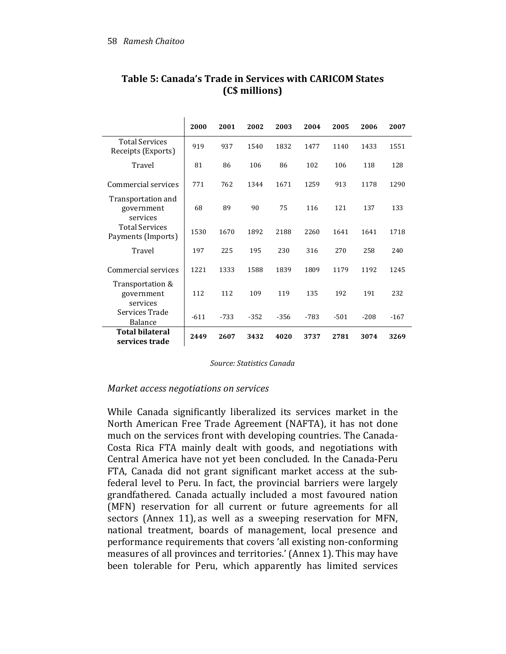|                                              | 2000   | 2001   | 2002   | 2003   | 2004   | 2005   | 2006   | 2007   |
|----------------------------------------------|--------|--------|--------|--------|--------|--------|--------|--------|
| <b>Total Services</b><br>Receipts (Exports)  | 919    | 937    | 1540   | 1832   | 1477   | 1140   | 1433   | 1551   |
| Travel                                       | 81     | 86     | 106    | 86     | 102    | 106    | 118    | 128    |
| Commercial services                          | 771    | 762    | 1344   | 1671   | 1259   | 913    | 1178   | 1290   |
| Transportation and<br>government<br>services | 68     | 89     | 90     | 75     | 116    | 121    | 137    | 133    |
| <b>Total Services</b><br>Payments (Imports)  | 1530   | 1670   | 1892   | 2188   | 2260   | 1641   | 1641   | 1718   |
| Travel                                       | 197    | 225    | 195    | 230    | 316    | 270    | 258    | 240    |
| Commercial services                          | 1221   | 1333   | 1588   | 1839   | 1809   | 1179   | 1192   | 1245   |
| Transportation &<br>government<br>services   | 112    | 112    | 109    | 119    | 135    | 192    | 191    | 232    |
| Services Trade<br>Balance                    | $-611$ | $-733$ | $-352$ | $-356$ | $-783$ | $-501$ | $-208$ | $-167$ |
| <b>Total bilateral</b><br>services trade     | 2449   | 2607   | 3432   | 4020   | 3737   | 2781   | 3074   | 3269   |

# Table 5: Canada's Trade in Services with CARICOM States (C\$ millions)

Source: Statistics Canada

## Market access negotiations on services

While Canada significantly liberalized its services market in the North American Free Trade Agreement (NAFTA), it has not done much on the services front with developing countries. The Canada-Costa Rica FTA mainly dealt with goods, and negotiations with Central America have not yet been concluded. In the Canada-Peru FTA, Canada did not grant significant market access at the subfederal level to Peru. In fact, the provincial barriers were largely grandfathered. Canada actually included a most favoured nation (MFN) reservation for all current or future agreements for all sectors (Annex 11), as well as a sweeping reservation for MFN, national treatment, boards of management, local presence and performance requirements that covers 'all existing non-conforming measures of all provinces and territories.' (Annex 1). This may have been tolerable for Peru, which apparently has limited services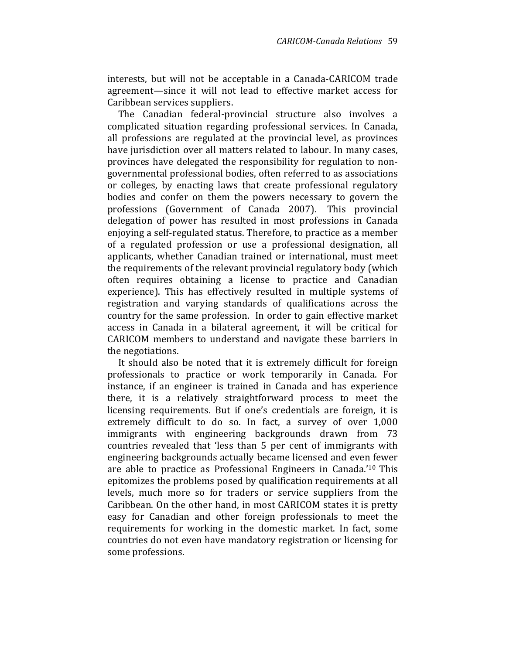interests, but will not be acceptable in a Canada-CARICOM trade agreement—since it will not lead to effective market access for Caribbean services suppliers.

 The Canadian federal-provincial structure also involves a complicated situation regarding professional services. In Canada, all professions are regulated at the provincial level, as provinces have jurisdiction over all matters related to labour. In many cases, provinces have delegated the responsibility for regulation to nongovernmental professional bodies, often referred to as associations or colleges, by enacting laws that create professional regulatory bodies and confer on them the powers necessary to govern the professions (Government of Canada 2007). This provincial delegation of power has resulted in most professions in Canada enjoying a self-regulated status. Therefore, to practice as a member of a regulated profession or use a professional designation, all applicants, whether Canadian trained or international, must meet the requirements of the relevant provincial regulatory body (which often requires obtaining a license to practice and Canadian experience). This has effectively resulted in multiple systems of registration and varying standards of qualifications across the country for the same profession. In order to gain effective market access in Canada in a bilateral agreement, it will be critical for CARICOM members to understand and navigate these barriers in the negotiations.

 It should also be noted that it is extremely difficult for foreign professionals to practice or work temporarily in Canada. For instance, if an engineer is trained in Canada and has experience there, it is a relatively straightforward process to meet the licensing requirements. But if one's credentials are foreign, it is extremely difficult to do so. In fact, a survey of over 1,000 immigrants with engineering backgrounds drawn from 73 countries revealed that 'less than 5 per cent of immigrants with engineering backgrounds actually became licensed and even fewer are able to practice as Professional Engineers in Canada.'10 This epitomizes the problems posed by qualification requirements at all levels, much more so for traders or service suppliers from the Caribbean. On the other hand, in most CARICOM states it is pretty easy for Canadian and other foreign professionals to meet the requirements for working in the domestic market. In fact, some countries do not even have mandatory registration or licensing for some professions.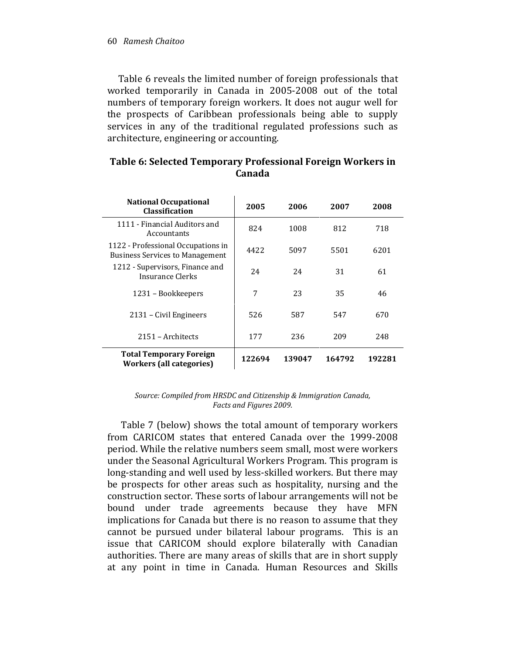Table 6 reveals the limited number of foreign professionals that worked temporarily in Canada in 2005-2008 out of the total numbers of temporary foreign workers. It does not augur well for the prospects of Caribbean professionals being able to supply services in any of the traditional regulated professions such as architecture, engineering or accounting.

| <b>National Occupational</b><br>Classification                               | 2005   | 2006   | 2007   | 2008   |
|------------------------------------------------------------------------------|--------|--------|--------|--------|
| 1111 - Financial Auditors and<br>Accountants                                 | 824    | 1008   | 812    | 718    |
| 1122 - Professional Occupations in<br><b>Business Services to Management</b> | 4422   | 5097   | 5501   | 6201   |
| 1212 - Supervisors, Finance and<br>Insurance Clerks                          | 24     | 24     | 31     | 61     |
| 1231 - Bookkeepers                                                           | 7      | 23     | 35     | 46     |
| 2131 – Civil Engineers                                                       | 526    | 587    | 547    | 670    |
| 2151 - Architects                                                            | 177    | 236    | 209    | 248    |
| <b>Total Temporary Foreign</b><br><b>Workers (all categories)</b>            | 122694 | 139047 | 164792 | 192281 |

## Table 6: Selected Temporary Professional Foreign Workers in Canada

#### Source: Compiled from HRSDC and Citizenship & Immigration Canada, Facts and Figures 2009.

Table 7 (below) shows the total amount of temporary workers from CARICOM states that entered Canada over the 1999-2008 period. While the relative numbers seem small, most were workers under the Seasonal Agricultural Workers Program. This program is long-standing and well used by less-skilled workers. But there may be prospects for other areas such as hospitality, nursing and the construction sector. These sorts of labour arrangements will not be bound under trade agreements because they have MFN implications for Canada but there is no reason to assume that they cannot be pursued under bilateral labour programs. This is an issue that CARICOM should explore bilaterally with Canadian authorities. There are many areas of skills that are in short supply at any point in time in Canada. Human Resources and Skills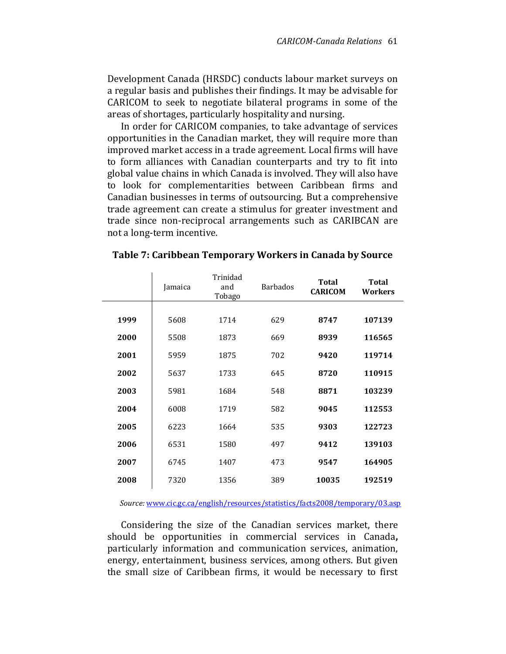Development Canada (HRSDC) conducts labour market surveys on a regular basis and publishes their findings. It may be advisable for CARICOM to seek to negotiate bilateral programs in some of the areas of shortages, particularly hospitality and nursing.

In order for CARICOM companies, to take advantage of services opportunities in the Canadian market, they will require more than improved market access in a trade agreement. Local firms will have to form alliances with Canadian counterparts and try to fit into global value chains in which Canada is involved. They will also have to look for complementarities between Caribbean firms and Canadian businesses in terms of outsourcing. But a comprehensive trade agreement can create a stimulus for greater investment and trade since non-reciprocal arrangements such as CARIBCAN are not a long-term incentive.

|      | Jamaica | Trinidad<br>and<br>Tobago | <b>Barbados</b> | <b>Total</b><br><b>CARICOM</b> | <b>Total</b><br>Workers |
|------|---------|---------------------------|-----------------|--------------------------------|-------------------------|
|      |         |                           |                 |                                |                         |
| 1999 | 5608    | 1714                      | 629             | 8747                           | 107139                  |
| 2000 | 5508    | 1873                      | 669             | 8939                           | 116565                  |
| 2001 | 5959    | 1875                      | 702             | 9420                           | 119714                  |
| 2002 | 5637    | 1733                      | 645             | 8720                           | 110915                  |
| 2003 | 5981    | 1684                      | 548             | 8871                           | 103239                  |
| 2004 | 6008    | 1719                      | 582             | 9045                           | 112553                  |
| 2005 | 6223    | 1664                      | 535             | 9303                           | 122723                  |
| 2006 | 6531    | 1580                      | 497             | 9412                           | 139103                  |
| 2007 | 6745    | 1407                      | 473             | 9547                           | 164905                  |
| 2008 | 7320    | 1356                      | 389             | 10035                          | 192519                  |

Table 7: Caribbean Temporary Workers in Canada by Source

Source: www.cic.gc.ca/english/resources/statistics/facts2008/temporary/03.asp

Considering the size of the Canadian services market, there should be opportunities in commercial services in Canada, particularly information and communication services, animation, energy, entertainment, business services, among others. But given the small size of Caribbean firms, it would be necessary to first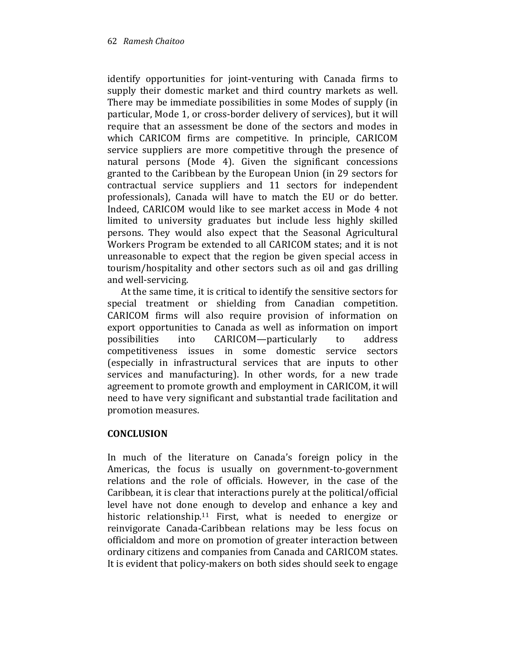identify opportunities for joint-venturing with Canada firms to supply their domestic market and third country markets as well. There may be immediate possibilities in some Modes of supply (in particular, Mode 1, or cross-border delivery of services), but it will require that an assessment be done of the sectors and modes in which CARICOM firms are competitive. In principle, CARICOM service suppliers are more competitive through the presence of natural persons (Mode 4). Given the significant concessions granted to the Caribbean by the European Union (in 29 sectors for contractual service suppliers and 11 sectors for independent professionals), Canada will have to match the EU or do better. Indeed, CARICOM would like to see market access in Mode 4 not limited to university graduates but include less highly skilled persons. They would also expect that the Seasonal Agricultural Workers Program be extended to all CARICOM states; and it is not unreasonable to expect that the region be given special access in tourism/hospitality and other sectors such as oil and gas drilling and well-servicing.

At the same time, it is critical to identify the sensitive sectors for special treatment or shielding from Canadian competition. CARICOM firms will also require provision of information on export opportunities to Canada as well as information on import possibilities into CARICOM—particularly to address competitiveness issues in some domestic service sectors (especially in infrastructural services that are inputs to other services and manufacturing). In other words, for a new trade agreement to promote growth and employment in CARICOM, it will need to have very significant and substantial trade facilitation and promotion measures.

# **CONCLUSION**

In much of the literature on Canada's foreign policy in the Americas, the focus is usually on government-to-government relations and the role of officials. However, in the case of the Caribbean, it is clear that interactions purely at the political/official level have not done enough to develop and enhance a key and historic relationship.<sup>11</sup> First, what is needed to energize or reinvigorate Canada-Caribbean relations may be less focus on officialdom and more on promotion of greater interaction between ordinary citizens and companies from Canada and CARICOM states. It is evident that policy-makers on both sides should seek to engage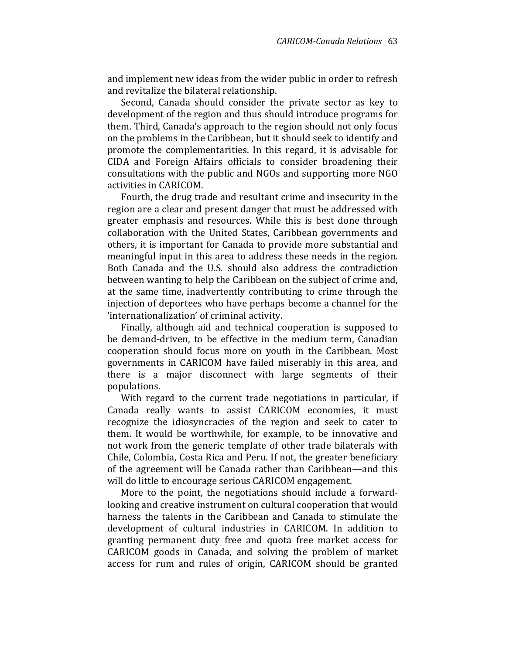and implement new ideas from the wider public in order to refresh and revitalize the bilateral relationship.

Second, Canada should consider the private sector as key to development of the region and thus should introduce programs for them. Third, Canada's approach to the region should not only focus on the problems in the Caribbean, but it should seek to identify and promote the complementarities. In this regard, it is advisable for CIDA and Foreign Affairs officials to consider broadening their consultations with the public and NGOs and supporting more NGO activities in CARICOM.

Fourth, the drug trade and resultant crime and insecurity in the region are a clear and present danger that must be addressed with greater emphasis and resources. While this is best done through collaboration with the United States, Caribbean governments and others, it is important for Canada to provide more substantial and meaningful input in this area to address these needs in the region. Both Canada and the U.S. should also address the contradiction between wanting to help the Caribbean on the subject of crime and, at the same time, inadvertently contributing to crime through the injection of deportees who have perhaps become a channel for the 'internationalization' of criminal activity.

Finally, although aid and technical cooperation is supposed to be demand-driven, to be effective in the medium term, Canadian cooperation should focus more on youth in the Caribbean. Most governments in CARICOM have failed miserably in this area, and there is a major disconnect with large segments of their populations.

With regard to the current trade negotiations in particular, if Canada really wants to assist CARICOM economies, it must recognize the idiosyncracies of the region and seek to cater to them. It would be worthwhile, for example, to be innovative and not work from the generic template of other trade bilaterals with Chile, Colombia, Costa Rica and Peru. If not, the greater beneficiary of the agreement will be Canada rather than Caribbean—and this will do little to encourage serious CARICOM engagement.

More to the point, the negotiations should include a forwardlooking and creative instrument on cultural cooperation that would harness the talents in the Caribbean and Canada to stimulate the development of cultural industries in CARICOM. In addition to granting permanent duty free and quota free market access for CARICOM goods in Canada, and solving the problem of market access for rum and rules of origin, CARICOM should be granted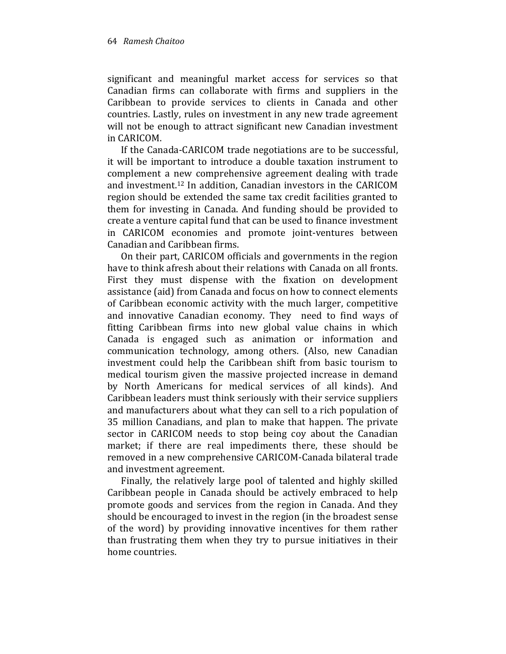significant and meaningful market access for services so that Canadian firms can collaborate with firms and suppliers in the Caribbean to provide services to clients in Canada and other countries. Lastly, rules on investment in any new trade agreement will not be enough to attract significant new Canadian investment in CARICOM.

If the Canada-CARICOM trade negotiations are to be successful, it will be important to introduce a double taxation instrument to complement a new comprehensive agreement dealing with trade and investment.12 In addition, Canadian investors in the CARICOM region should be extended the same tax credit facilities granted to them for investing in Canada. And funding should be provided to create a venture capital fund that can be used to finance investment in CARICOM economies and promote joint-ventures between Canadian and Caribbean firms.

On their part, CARICOM officials and governments in the region have to think afresh about their relations with Canada on all fronts. First they must dispense with the fixation on development assistance (aid) from Canada and focus on how to connect elements of Caribbean economic activity with the much larger, competitive and innovative Canadian economy. They need to find ways of fitting Caribbean firms into new global value chains in which Canada is engaged such as animation or information and communication technology, among others. (Also, new Canadian investment could help the Caribbean shift from basic tourism to medical tourism given the massive projected increase in demand by North Americans for medical services of all kinds). And Caribbean leaders must think seriously with their service suppliers and manufacturers about what they can sell to a rich population of 35 million Canadians, and plan to make that happen. The private sector in CARICOM needs to stop being coy about the Canadian market; if there are real impediments there, these should be removed in a new comprehensive CARICOM-Canada bilateral trade and investment agreement.

Finally, the relatively large pool of talented and highly skilled Caribbean people in Canada should be actively embraced to help promote goods and services from the region in Canada. And they should be encouraged to invest in the region (in the broadest sense of the word) by providing innovative incentives for them rather than frustrating them when they try to pursue initiatives in their home countries.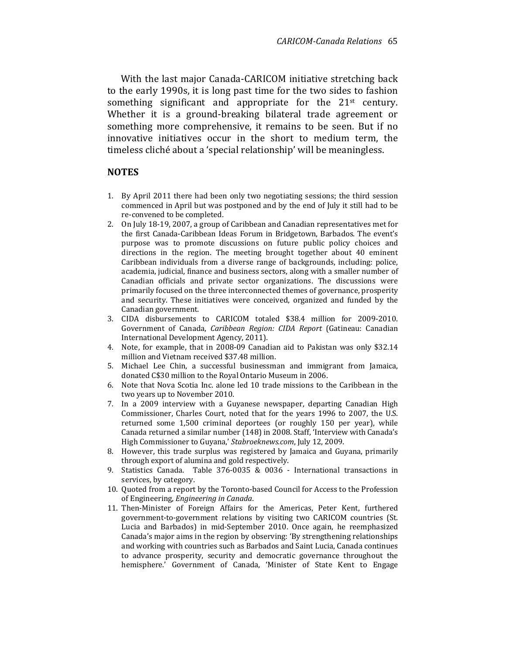With the last major Canada-CARICOM initiative stretching back to the early 1990s, it is long past time for the two sides to fashion something significant and appropriate for the  $21<sup>st</sup>$  century. Whether it is a ground-breaking bilateral trade agreement or something more comprehensive, it remains to be seen. But if no innovative initiatives occur in the short to medium term, the timeless cliché about a 'special relationship' will be meaningless.

#### NOTES

- 1. By April 2011 there had been only two negotiating sessions; the third session commenced in April but was postponed and by the end of July it still had to be re-convened to be completed.
- 2. On July 18-19, 2007, a group of Caribbean and Canadian representatives met for the first Canada-Caribbean Ideas Forum in Bridgetown, Barbados. The event's purpose was to promote discussions on future public policy choices and directions in the region. The meeting brought together about 40 eminent Caribbean individuals from a diverse range of backgrounds, including: police, academia, judicial, finance and business sectors, along with a smaller number of Canadian officials and private sector organizations. The discussions were primarily focused on the three interconnected themes of governance, prosperity and security. These initiatives were conceived, organized and funded by the Canadian government.
- 3. CIDA disbursements to CARICOM totaled \$38.4 million for 2009-2010. Government of Canada, Caribbean Region: CIDA Report (Gatineau: Canadian International Development Agency, 2011).
- 4. Note, for example, that in 2008-09 Canadian aid to Pakistan was only \$32.14 million and Vietnam received \$37.48 million.
- 5. Michael Lee Chin, a successful businessman and immigrant from Jamaica, donated C\$30 million to the Royal Ontario Museum in 2006.
- 6. Note that Nova Scotia Inc. alone led 10 trade missions to the Caribbean in the two years up to November 2010.
- 7. In a 2009 interview with a Guyanese newspaper, departing Canadian High Commissioner, Charles Court, noted that for the years 1996 to 2007, the U.S. returned some 1,500 criminal deportees (or roughly 150 per year), while Canada returned a similar number (148) in 2008. Staff, 'Interview with Canada's High Commissioner to Guyana,' Stabroeknews.com, July 12, 2009.
- 8. However, this trade surplus was registered by Jamaica and Guyana, primarily through export of alumina and gold respectively.
- 9. Statistics Canada. Table 376-0035 & 0036 International transactions in services, by category.
- 10. Quoted from a report by the Toronto-based Council for Access to the Profession of Engineering, Engineering in Canada.
- 11. Then-Minister of Foreign Affairs for the Americas, Peter Kent, furthered government-to-government relations by visiting two CARICOM countries (St. Lucia and Barbados) in mid-September 2010. Once again, he reemphasized Canada's major aims in the region by observing: 'By strengthening relationships and working with countries such as Barbados and Saint Lucia, Canada continues to advance prosperity, security and democratic governance throughout the hemisphere.' Government of Canada, 'Minister of State Kent to Engage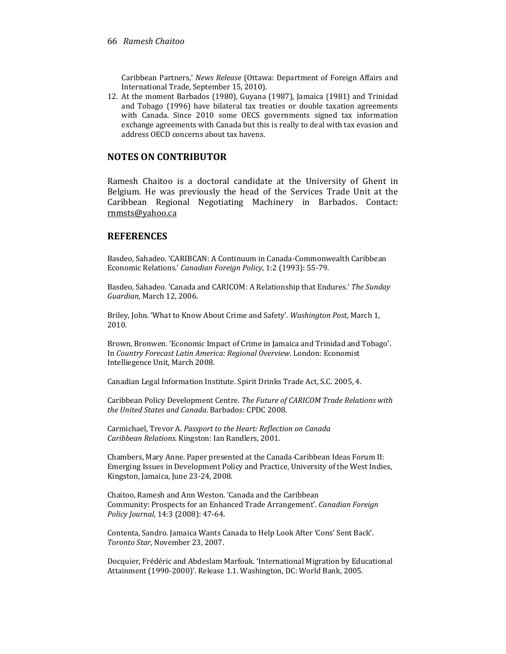#### 66 Ramesh Chaitoo

Caribbean Partners,' News Release (Ottawa: Department of Foreign Affairs and International Trade, September 15, 2010).

12. At the moment Barbados (1980), Guyana (1987), Jamaica (1981) and Trinidad and Tobago (1996) have bilateral tax treaties or double taxation agreements with Canada. Since 2010 some OECS governments signed tax information exchange agreements with Canada but this is really to deal with tax evasion and address OECD concerns about tax havens.

#### NOTES ON CONTRIBUTOR

Ramesh Chaitoo is a doctoral candidate at the University of Ghent in Belgium. He was previously the head of the Services Trade Unit at the Caribbean Regional Negotiating Machinery in Barbados. Contact: rnmsts@yahoo.ca

#### **REFERENCES**

Basdeo, Sahadeo. 'CARIBCAN: A Continuum in Canada-Commonwealth Caribbean Economic Relations.' Canadian Foreign Policy, 1:2 (1993): 55-79.

Basdeo, Sahadeo. 'Canada and CARICOM: A Relationship that Endures.' The Sunday Guardian, March 12, 2006.

Briley, John. 'What to Know About Crime and Safety'. Washington Post, March 1, 2010.

Brown, Bronwen. 'Economic Impact of Crime in Jamaica and Trinidad and Tobago'. In Country Forecast Latin America: Regional Overview. London: Economist Intelliegence Unit, March 2008.

Canadian Legal Information Institute. Spirit Drinks Trade Act, S.C. 2005, 4.

Caribbean Policy Development Centre. The Future of CARICOM Trade Relations with the United States and Canada. Barbados: CPDC 2008.

Carmichael, Trevor A. Passport to the Heart: Reflection on Canada Caribbean Relations. Kingston: Ian Randlers, 2001.

Chambers, Mary Anne. Paper presented at the Canada-Caribbean Ideas Forum II: Emerging Issues in Development Policy and Practice, University of the West Indies, Kingston, Jamaica, June 23-24, 2008.

Chaitoo, Ramesh and Ann Weston. 'Canada and the Caribbean Community: Prospects for an Enhanced Trade Arrangement'. Canadian Foreign Policy Journal, 14:3 (2008): 47-64.

Contenta, Sandro. Jamaica Wants Canada to Help Look After 'Cons' Sent Back'. Toronto Star, November 23, 2007.

Docquier, Frédéric and Abdeslam Marfouk. 'International Migration by Educational Attainment (1990-2000)'. Release 1.1. Washington, DC: World Bank, 2005.